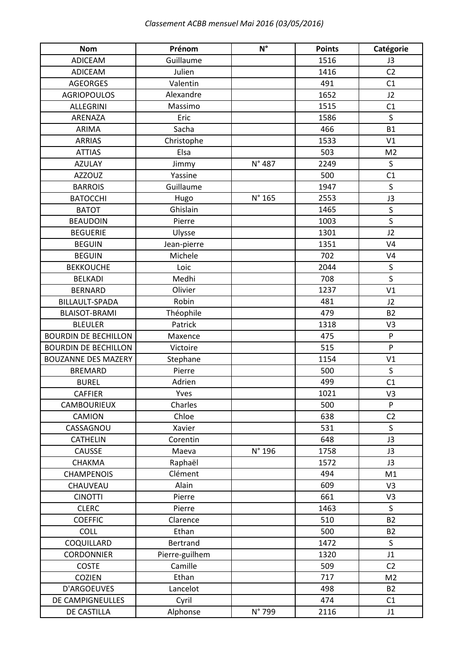| <b>Nom</b>                  | Prénom         | $N^{\circ}$ | <b>Points</b> | Catégorie      |
|-----------------------------|----------------|-------------|---------------|----------------|
| ADICEAM                     | Guillaume      |             | 1516          | J3             |
| <b>ADICEAM</b>              | Julien         |             | 1416          | C <sub>2</sub> |
| <b>AGEORGES</b>             | Valentin       |             | 491           | C1             |
| <b>AGRIOPOULOS</b>          | Alexandre      |             | 1652          | J2             |
| <b>ALLEGRINI</b>            | Massimo        |             | 1515          | C1             |
| ARENAZA                     | Eric           |             | 1586          | $\mathsf S$    |
| ARIMA                       | Sacha          |             | 466           | <b>B1</b>      |
| <b>ARRIAS</b>               | Christophe     |             | 1533          | V1             |
| <b>ATTIAS</b>               | Elsa           |             | 503           | M <sub>2</sub> |
| <b>AZULAY</b>               | Jimmy          | N° 487      | 2249          | $\sf S$        |
| <b>AZZOUZ</b>               | Yassine        |             | 500           | C1             |
| <b>BARROIS</b>              | Guillaume      |             | 1947          | $\mathsf{S}$   |
| <b>BATOCCHI</b>             | Hugo           | N° 165      | 2553          | J3             |
| <b>BATOT</b>                | Ghislain       |             | 1465          | $\sf S$        |
| <b>BEAUDOIN</b>             | Pierre         |             | 1003          | $\mathsf{S}$   |
| <b>BEGUERIE</b>             | Ulysse         |             | 1301          | J2             |
| <b>BEGUIN</b>               | Jean-pierre    |             | 1351          | V <sub>4</sub> |
| <b>BEGUIN</b>               | Michele        |             | 702           | V <sub>4</sub> |
| <b>BEKKOUCHE</b>            | Loic           |             | 2044          | $\sf S$        |
| <b>BELKADI</b>              | Medhi          |             | 708           | $\mathsf S$    |
| <b>BERNARD</b>              | Olivier        |             | 1237          | V1             |
| BILLAULT-SPADA              | Robin          |             | 481           | J2             |
| <b>BLAISOT-BRAMI</b>        | Théophile      |             | 479           | <b>B2</b>      |
| <b>BLEULER</b>              | Patrick        |             | 1318          | V3             |
| <b>BOURDIN DE BECHILLON</b> | Maxence        |             | 475           | P              |
| <b>BOURDIN DE BECHILLON</b> | Victoire       |             | 515           | P              |
| <b>BOUZANNE DES MAZERY</b>  | Stephane       |             | 1154          | V1             |
| <b>BREMARD</b>              | Pierre         |             | 500           | $\mathsf{S}$   |
| <b>BUREL</b>                | Adrien         |             | 499           | C1             |
| <b>CAFFIER</b>              | Yves           |             | 1021          | V3             |
| CAMBOURIEUX                 | Charles        |             | 500           | ${\sf P}$      |
| CAMION                      | Chloe          |             | 638           | C <sub>2</sub> |
| CASSAGNOU                   | Xavier         |             | 531           | S              |
| <b>CATHELIN</b>             | Corentin       |             | 648           | J3             |
| <b>CAUSSE</b>               | Maeva          | N° 196      | 1758          | J3             |
| CHAKMA                      | Raphaël        |             | 1572          | J3             |
| <b>CHAMPENOIS</b>           | Clément        |             | 494           | M1             |
| CHAUVEAU                    | Alain          |             | 609           | V3             |
| <b>CINOTTI</b>              | Pierre         |             | 661           | V3             |
| <b>CLERC</b>                | Pierre         |             | 1463          | S              |
| <b>COEFFIC</b>              | Clarence       |             | 510           | <b>B2</b>      |
| COLL                        | Ethan          |             | 500           | <b>B2</b>      |
| COQUILLARD                  | Bertrand       |             | 1472          | S              |
| <b>CORDONNIER</b>           | Pierre-guilhem |             | 1320          | J1             |
| <b>COSTE</b>                | Camille        |             | 509           | C <sub>2</sub> |
| COZIEN                      | Ethan          |             | 717           | M <sub>2</sub> |
| D'ARGOEUVES                 | Lancelot       |             | 498           | <b>B2</b>      |
| DE CAMPIGNEULLES            | Cyril          |             | 474           | C1             |
| DE CASTILLA                 | Alphonse       | N° 799      | 2116          | J1             |
|                             |                |             |               |                |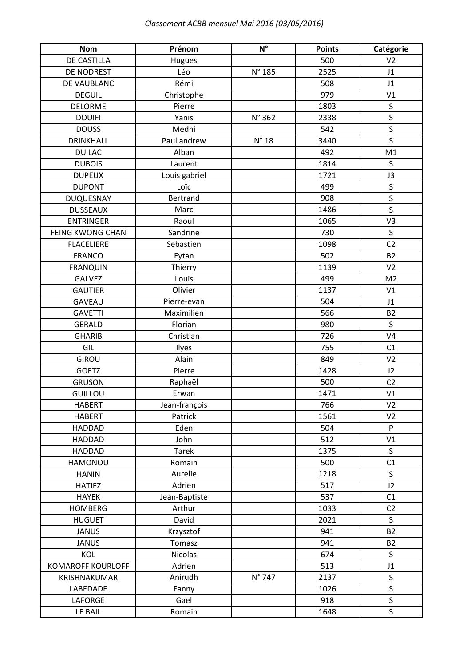| <b>Nom</b>               | Prénom          | $N^{\circ}$    | <b>Points</b> | Catégorie               |
|--------------------------|-----------------|----------------|---------------|-------------------------|
| DE CASTILLA              | Hugues          |                | 500           | V <sub>2</sub>          |
| DE NODREST               | Léo             | N° 185         | 2525          | J1                      |
| DE VAUBLANC              | Rémi            |                | 508           | J1                      |
| <b>DEGUIL</b>            | Christophe      |                | 979           | V1                      |
| <b>DELORME</b>           | Pierre          |                | 1803          | $\sf S$                 |
| <b>DOUIFI</b>            | Yanis           | N° 362         | 2338          | $\sf S$                 |
| <b>DOUSS</b>             | Medhi           |                | 542           | $\overline{\mathsf{S}}$ |
| <b>DRINKHALL</b>         | Paul andrew     | $N^{\circ}$ 18 | 3440          | $\mathsf{S}$            |
| DU LAC                   | Alban           |                | 492           | M1                      |
| <b>DUBOIS</b>            | Laurent         |                | 1814          | S                       |
| <b>DUPEUX</b>            | Louis gabriel   |                | 1721          | J3                      |
| <b>DUPONT</b>            | Loïc            |                | 499           | $\sf S$                 |
| <b>DUQUESNAY</b>         | <b>Bertrand</b> |                | 908           | $\mathsf{S}$            |
| <b>DUSSEAUX</b>          | Marc            |                | 1486          | $\mathsf{S}$            |
| <b>ENTRINGER</b>         | Raoul           |                | 1065          | V <sub>3</sub>          |
| <b>FEING KWONG CHAN</b>  | Sandrine        |                | 730           | $\sf S$                 |
| <b>FLACELIERE</b>        | Sebastien       |                | 1098          | C <sub>2</sub>          |
| <b>FRANCO</b>            | Eytan           |                | 502           | <b>B2</b>               |
| <b>FRANQUIN</b>          | Thierry         |                | 1139          | V <sub>2</sub>          |
| <b>GALVEZ</b>            | Louis           |                | 499           | M <sub>2</sub>          |
| <b>GAUTIER</b>           | Olivier         |                | 1137          | V1                      |
| <b>GAVEAU</b>            | Pierre-evan     |                | 504           | J1                      |
| <b>GAVETTI</b>           | Maximilien      |                | 566           | <b>B2</b>               |
| <b>GERALD</b>            | Florian         |                | 980           | S                       |
| <b>GHARIB</b>            | Christian       |                | 726           | V <sub>4</sub>          |
| GIL                      | Ilyes           |                | 755           | C1                      |
| <b>GIROU</b>             | Alain           |                | 849           | V <sub>2</sub>          |
| <b>GOETZ</b>             | Pierre          |                | 1428          | J2                      |
| <b>GRUSON</b>            | Raphaël         |                | 500           | C <sub>2</sub>          |
| <b>GUILLOU</b>           | Erwan           |                | 1471          | V1                      |
| <b>HABERT</b>            | Jean-françois   |                | 766           | V <sub>2</sub>          |
| <b>HABERT</b>            | Patrick         |                | 1561          | V <sub>2</sub>          |
| <b>HADDAD</b>            | Eden            |                | 504           | P                       |
| <b>HADDAD</b>            | John            |                | 512           | V1                      |
| <b>HADDAD</b>            | <b>Tarek</b>    |                | 1375          | $\mathsf{S}$            |
| HAMONOU                  | Romain          |                | 500           | C1                      |
| <b>HANIN</b>             | Aurelie         |                | 1218          | S                       |
| <b>HATIEZ</b>            | Adrien          |                | 517           | J2                      |
| <b>HAYEK</b>             | Jean-Baptiste   |                | 537           | C1                      |
| <b>HOMBERG</b>           | Arthur          |                | 1033          | C <sub>2</sub>          |
| <b>HUGUET</b>            | David           |                | 2021          | S                       |
| <b>JANUS</b>             | Krzysztof       |                | 941           | <b>B2</b>               |
| <b>JANUS</b>             | Tomasz          |                | 941           | <b>B2</b>               |
| KOL                      | Nicolas         |                | 674           | $\mathsf{S}$            |
| <b>KOMAROFF KOURLOFF</b> | Adrien          |                | 513           | J1                      |
| KRISHNAKUMAR             | Anirudh         | N° 747         | 2137          | $\mathsf{S}$            |
| LABEDADE                 | Fanny           |                | 1026          | $\sf S$                 |
| LAFORGE                  | Gael            |                | 918           | $\sf S$                 |
| LE BAIL                  | Romain          |                | 1648          | $\sf S$                 |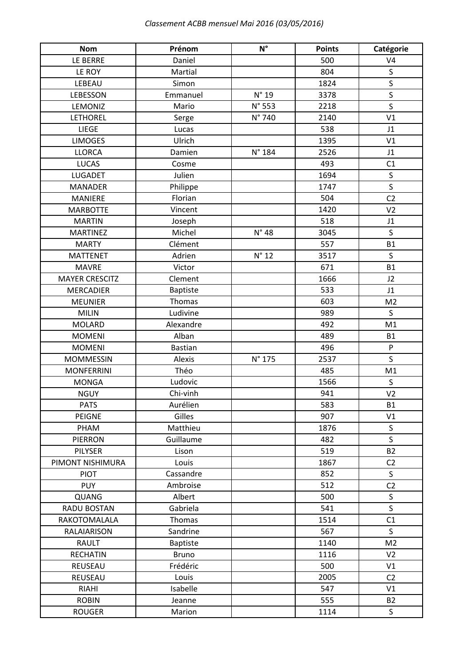| <b>Nom</b>            | Prénom                   | $N^{\circ}$    | <b>Points</b> | Catégorie      |
|-----------------------|--------------------------|----------------|---------------|----------------|
| LE BERRE              | Daniel                   |                | 500           | V <sub>4</sub> |
| LE ROY                | Martial                  |                | 804           | $\mathsf S$    |
| LEBEAU                | Simon                    |                | 1824          | $\mathsf S$    |
| LEBESSON              | Emmanuel                 | $N^{\circ}$ 19 | 3378          | $\sf S$        |
| LEMONIZ               | Mario                    | N° 553         | 2218          | $\mathsf S$    |
| <b>LETHOREL</b>       | Serge                    | N° 740         | 2140          | V <sub>1</sub> |
| LIEGE                 | Lucas                    |                | 538           | J1             |
| <b>LIMOGES</b>        | Ulrich                   |                | 1395          | V1             |
| <b>LLORCA</b>         | Damien                   | N° 184         | 2526          | J1             |
| <b>LUCAS</b>          | Cosme                    |                | 493           | C1             |
| <b>LUGADET</b>        | Julien                   |                | 1694          | $\sf S$        |
| <b>MANADER</b>        | Philippe                 |                | 1747          | $\sf S$        |
| <b>MANIERE</b>        | Florian                  |                | 504           | C <sub>2</sub> |
| <b>MARBOTTE</b>       | Vincent                  |                | 1420          | V <sub>2</sub> |
| <b>MARTIN</b>         | Joseph                   |                | 518           | J1             |
| <b>MARTINEZ</b>       | Michel                   | $N^{\circ}$ 48 | 3045          | $\sf S$        |
| <b>MARTY</b>          | Clément                  |                | 557           | <b>B1</b>      |
| <b>MATTENET</b>       | Adrien                   | $N^{\circ}$ 12 | 3517          | S              |
| <b>MAVRE</b>          | Victor                   |                | 671           | <b>B1</b>      |
| <b>MAYER CRESCITZ</b> | Clement                  |                | 1666          | J2             |
| <b>MERCADIER</b>      | <b>Baptiste</b>          |                | 533           | J1             |
| <b>MEUNIER</b>        | Thomas                   |                | 603           | M <sub>2</sub> |
| <b>MILIN</b>          | Ludivine                 |                | 989           | S              |
| <b>MOLARD</b>         | Alexandre                |                | 492           | M1             |
| <b>MOMENI</b>         | Alban                    |                | 489           | <b>B1</b>      |
| <b>MOMENI</b>         | <b>Bastian</b>           |                | 496           | ${\sf P}$      |
| <b>MOMMESSIN</b>      | Alexis                   | N° 175         | 2537          | $\mathsf S$    |
| <b>MONFERRINI</b>     | Théo                     |                | 485           | M1             |
| <b>MONGA</b>          | Ludovic                  |                | 1566          | S              |
| <b>NGUY</b>           | Chi-vinh                 |                | 941           | V <sub>2</sub> |
| <b>PATS</b>           | Aurélien                 |                | 583           | <b>B1</b>      |
| PEIGNE                | Gilles                   |                | 907           | V1             |
| PHAM                  | Matthieu                 |                | 1876          | S              |
| <b>PIERRON</b>        | Guillaume                |                | 482           | $\mathsf{S}$   |
| <b>PILYSER</b>        | Lison                    |                | 519           | <b>B2</b>      |
| PIMONT NISHIMURA      | Louis                    |                | 1867          | C <sub>2</sub> |
| <b>PIOT</b>           | Cassandre                |                | 852           | S              |
| <b>PUY</b>            | Ambroise                 |                | 512           | C <sub>2</sub> |
| QUANG                 | Albert                   |                | 500           | $\mathsf{S}$   |
| RADU BOSTAN           | Gabriela                 |                | 541           | $\mathsf{S}$   |
| RAKOTOMALALA          | Thomas                   |                | 1514          | C1             |
| RALAIARISON           | Sandrine                 |                | 567           | S              |
| RAULT                 | <b>Baptiste</b>          |                | 1140          | M <sub>2</sub> |
| <b>RECHATIN</b>       |                          |                | 1116          | V <sub>2</sub> |
|                       | <b>Bruno</b><br>Frédéric |                | 500           | V1             |
| REUSEAU<br>REUSEAU    | Louis                    |                | 2005          | C <sub>2</sub> |
|                       |                          |                |               |                |
| <b>RIAHI</b>          | Isabelle                 |                | 547           | V1             |
| <b>ROBIN</b>          | Jeanne                   |                | 555           | <b>B2</b>      |
| <b>ROUGER</b>         | Marion                   |                | 1114          | $\mathsf S$    |